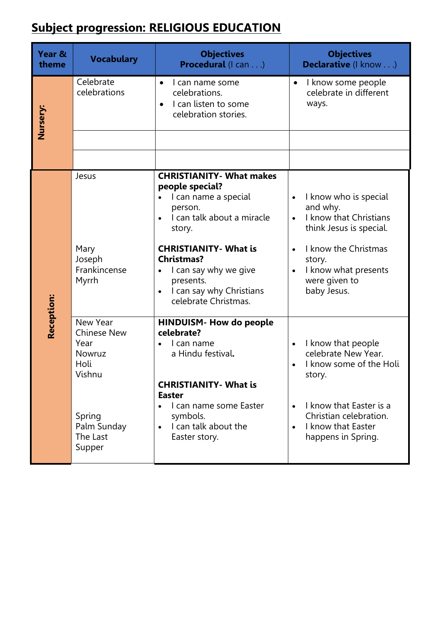## **Subject progression: RELIGIOUS EDUCATION**

| Year &<br>theme | <b>Vocabulary</b>                                                                                                 | <b>Objectives</b><br>Procedural (I can)                                                                                                                                                                                                                                      | <b>Objectives</b><br>Declarative (I know)                                                                                                                                                                               |
|-----------------|-------------------------------------------------------------------------------------------------------------------|------------------------------------------------------------------------------------------------------------------------------------------------------------------------------------------------------------------------------------------------------------------------------|-------------------------------------------------------------------------------------------------------------------------------------------------------------------------------------------------------------------------|
| Nursery:        | Celebrate<br>celebrations                                                                                         | I can name some<br>$\bullet$<br>celebrations.<br>I can listen to some<br>celebration stories.                                                                                                                                                                                | I know some people<br>$\bullet$<br>celebrate in different<br>ways.                                                                                                                                                      |
|                 |                                                                                                                   |                                                                                                                                                                                                                                                                              |                                                                                                                                                                                                                         |
|                 |                                                                                                                   |                                                                                                                                                                                                                                                                              |                                                                                                                                                                                                                         |
| Reception:      | Jesus<br>Mary<br>Joseph<br>Frankincense<br>Myrrh                                                                  | <b>CHRISTIANITY- What makes</b><br>people special?<br>I can name a special<br>person.<br>I can talk about a miracle<br>story.<br><b>CHRISTIANITY- What is</b><br><b>Christmas?</b><br>I can say why we give<br>presents.<br>I can say why Christians<br>celebrate Christmas. | I know who is special<br>and why.<br>I know that Christians<br>$\bullet$<br>think Jesus is special.<br>I know the Christmas<br>$\bullet$<br>story.<br>I know what presents<br>$\bullet$<br>were given to<br>baby Jesus. |
|                 | New Year<br><b>Chinese New</b><br>Year<br>Nowruz<br>Holi<br>Vishnu<br>Spring<br>Palm Sunday<br>The Last<br>Supper | <b>HINDUISM- How do people</b><br>celebrate?<br>I can name<br>a Hindu festival.<br><b>CHRISTIANITY- What is</b><br><b>Easter</b><br>I can name some Easter<br>symbols.<br>I can talk about the<br>$\bullet$<br>Easter story.                                                 | I know that people<br>celebrate New Year.<br>I know some of the Holi<br>story.<br>I know that Easter is a<br>Christian celebration.<br>I know that Easter<br>$\bullet$<br>happens in Spring.                            |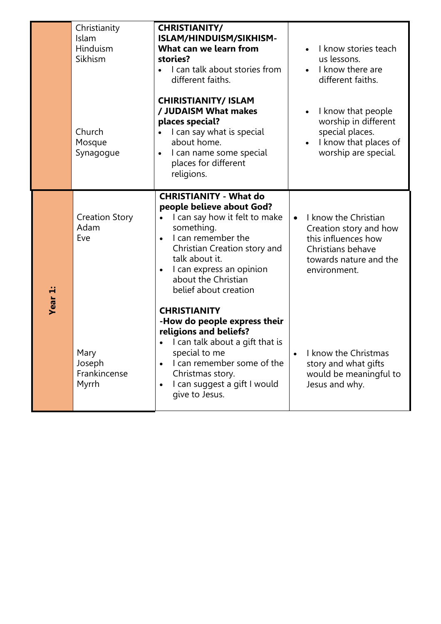|                | Christianity<br>Islam<br>Hinduism<br>Sikhism<br>Church<br>Mosque<br>Synagogue | <b>CHRISTIANITY/</b><br>ISLAM/HINDUISM/SIKHISM-<br>What can we learn from<br>stories?<br>I can talk about stories from<br>$\bullet$<br>different faiths.<br><b>CHIRISTIANITY/ ISLAM</b><br>/ JUDAISM What makes<br>places special?<br>I can say what is special<br>$\bullet$<br>about home.<br>I can name some special<br>$\bullet$<br>places for different<br>religions. | I know stories teach<br>us lessons.<br>I know there are<br>$\bullet$<br>different faiths.<br>I know that people<br>$\bullet$<br>worship in different<br>special places.<br>I know that places of<br>worship are special. |
|----------------|-------------------------------------------------------------------------------|---------------------------------------------------------------------------------------------------------------------------------------------------------------------------------------------------------------------------------------------------------------------------------------------------------------------------------------------------------------------------|--------------------------------------------------------------------------------------------------------------------------------------------------------------------------------------------------------------------------|
| <b>Year 1:</b> | <b>Creation Story</b><br>Adam<br>Eve                                          | <b>CHRISTIANITY - What do</b><br>people believe about God?<br>I can say how it felt to make<br>something.<br>I can remember the<br>$\bullet$<br>Christian Creation story and<br>talk about it.<br>I can express an opinion<br>$\bullet$<br>about the Christian<br>belief about creation<br><b>CHRISTIANITY</b><br>-How do people express their                            | I know the Christian<br>$\bullet$<br>Creation story and how<br>this influences how<br>Christians behave<br>towards nature and the<br>environment.                                                                        |
|                | Mary<br>Joseph<br>Frankincense<br>Myrrh                                       | religions and beliefs?<br>I can talk about a gift that is<br>$\bullet$<br>special to me<br>I can remember some of the<br>$\bullet$<br>Christmas story.<br>I can suggest a gift I would<br>$\bullet$<br>give to Jesus.                                                                                                                                                     | I know the Christmas<br>$\bullet$<br>story and what gifts<br>would be meaningful to<br>Jesus and why.                                                                                                                    |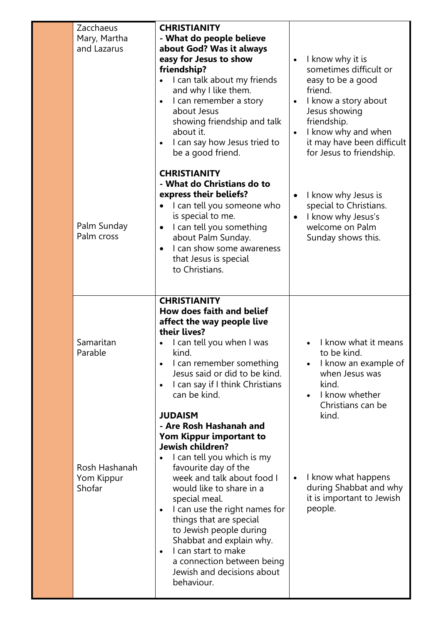| Zacchaeus<br>Mary, Martha<br>and Lazarus | <b>CHRISTIANITY</b><br>- What do people believe<br>about God? Was it always<br>easy for Jesus to show<br>friendship?<br>I can talk about my friends<br>and why I like them.<br>I can remember a story<br>$\bullet$<br>about Jesus<br>showing friendship and talk<br>about it.<br>I can say how Jesus tried to<br>be a good friend.                                                                                                                    | I know why it is<br>$\bullet$<br>sometimes difficult or<br>easy to be a good<br>friend.<br>I know a story about<br>$\bullet$<br>Jesus showing<br>friendship.<br>I know why and when<br>$\bullet$<br>it may have been difficult<br>for Jesus to friendship. |
|------------------------------------------|-------------------------------------------------------------------------------------------------------------------------------------------------------------------------------------------------------------------------------------------------------------------------------------------------------------------------------------------------------------------------------------------------------------------------------------------------------|------------------------------------------------------------------------------------------------------------------------------------------------------------------------------------------------------------------------------------------------------------|
| Palm Sunday<br>Palm cross                | <b>CHRISTIANITY</b><br>- What do Christians do to<br>express their beliefs?<br>I can tell you someone who<br>is special to me.<br>I can tell you something<br>$\bullet$<br>about Palm Sunday.<br>I can show some awareness<br>$\bullet$<br>that Jesus is special<br>to Christians.                                                                                                                                                                    | I know why Jesus is<br>$\bullet$<br>special to Christians.<br>I know why Jesus's<br>$\bullet$<br>welcome on Palm<br>Sunday shows this.                                                                                                                     |
| Samaritan<br>Parable                     | <b>CHRISTIANITY</b><br><b>How does faith and belief</b><br>affect the way people live<br>their lives?<br>I can tell you when I was<br>kind.<br>I can remember something<br>$\bullet$<br>Jesus said or did to be kind.<br>I can say if I think Christians<br>$\bullet$<br>can be kind.<br><b>JUDAISM</b>                                                                                                                                               | I know what it means<br>to be kind.<br>I know an example of<br>when Jesus was<br>kind.<br>I know whether<br>Christians can be<br>kind.                                                                                                                     |
| Rosh Hashanah<br>Yom Kippur<br>Shofar    | - Are Rosh Hashanah and<br>Yom Kippur important to<br>Jewish children?<br>I can tell you which is my<br>favourite day of the<br>week and talk about food I<br>would like to share in a<br>special meal.<br>I can use the right names for<br>$\bullet$<br>things that are special<br>to Jewish people during<br>Shabbat and explain why.<br>I can start to make<br>$\bullet$<br>a connection between being<br>Jewish and decisions about<br>behaviour. | I know what happens<br>$\bullet$<br>during Shabbat and why<br>it is important to Jewish<br>people.                                                                                                                                                         |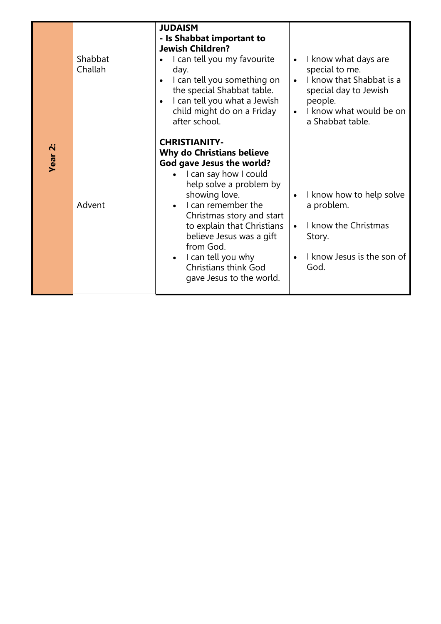|            | Shabbat<br>Challah | <b>JUDAISM</b><br>- Is Shabbat important to<br><b>Jewish Children?</b><br>I can tell you my favourite<br>day.<br>I can tell you something on<br>$\bullet$<br>the special Shabbat table.<br>I can tell you what a Jewish<br>$\bullet$<br>child might do on a Friday<br>after school.                                                                                                                       | I know what days are<br>$\bullet$<br>special to me.<br>I know that Shabbat is a<br>$\bullet$<br>special day to Jewish<br>people.<br>I know what would be on<br>$\bullet$<br>a Shabbat table. |
|------------|--------------------|-----------------------------------------------------------------------------------------------------------------------------------------------------------------------------------------------------------------------------------------------------------------------------------------------------------------------------------------------------------------------------------------------------------|----------------------------------------------------------------------------------------------------------------------------------------------------------------------------------------------|
| י ב¤<br>דפ | Advent             | <b>CHRISTIANITY-</b><br><b>Why do Christians believe</b><br>God gave Jesus the world?<br>I can say how I could<br>$\bullet$<br>help solve a problem by<br>showing love.<br>I can remember the<br>$\bullet$<br>Christmas story and start<br>to explain that Christians<br>believe Jesus was a gift<br>from God.<br>$\bullet$ I can tell you why<br><b>Christians think God</b><br>gave Jesus to the world. | I know how to help solve<br>$\bullet$<br>a problem.<br>I know the Christmas<br>$\bullet$<br>Story.<br>I know Jesus is the son of<br>God.                                                     |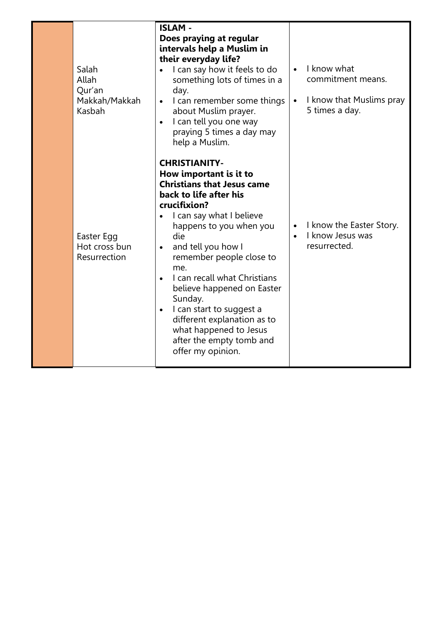| Salah<br>Allah<br>Qur'an<br>Makkah/Makkah<br>Kasbah | <b>ISLAM-</b><br>Does praying at regular<br>intervals help a Muslim in<br>their everyday life?<br>I can say how it feels to do<br>$\bullet$<br>something lots of times in a<br>day.<br>I can remember some things<br>$\bullet$<br>about Muslim prayer.<br>I can tell you one way<br>praying 5 times a day may<br>help a Muslim.                                                                                                                                                                            | I know what<br>$\bullet$<br>commitment means.<br>I know that Muslims pray<br>$\bullet$<br>5 times a day. |
|-----------------------------------------------------|------------------------------------------------------------------------------------------------------------------------------------------------------------------------------------------------------------------------------------------------------------------------------------------------------------------------------------------------------------------------------------------------------------------------------------------------------------------------------------------------------------|----------------------------------------------------------------------------------------------------------|
| Easter Egg<br>Hot cross bun<br>Resurrection         | <b>CHRISTIANITY-</b><br>How important is it to<br><b>Christians that Jesus came</b><br>back to life after his<br>crucifixion?<br>I can say what I believe<br>happens to you when you<br>die<br>and tell you how I<br>$\bullet$<br>remember people close to<br>me.<br>I can recall what Christians<br>$\bullet$<br>believe happened on Easter<br>Sunday.<br>I can start to suggest a<br>$\bullet$<br>different explanation as to<br>what happened to Jesus<br>after the empty tomb and<br>offer my opinion. | I know the Easter Story.<br>$\bullet$<br>I know Jesus was<br>resurrected.                                |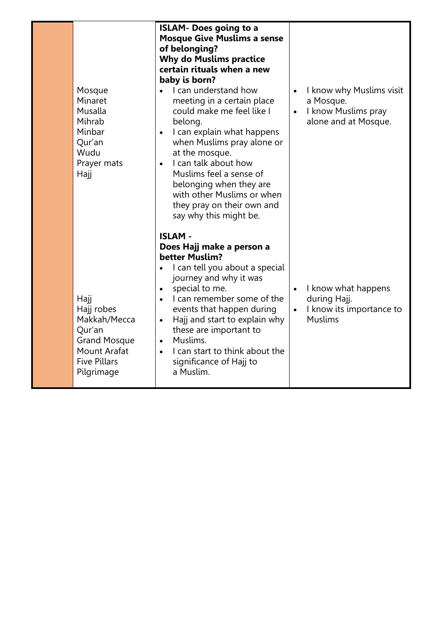| Mosque<br>Minaret<br>Musalla<br>Mihrab<br>Minbar<br>Qur'an<br>Wudu<br>Prayer mats<br>Hajj                                       | <b>ISLAM- Does going to a</b><br><b>Mosque Give Muslims a sense</b><br>of belonging?<br><b>Why do Muslims practice</b><br>certain rituals when a new<br>baby is born?<br>I can understand how<br>meeting in a certain place<br>could make me feel like I<br>belong.<br>I can explain what happens<br>$\bullet$<br>when Muslims pray alone or<br>at the mosque.<br>I can talk about how<br>$\bullet$<br>Muslims feel a sense of<br>belonging when they are<br>with other Muslims or when<br>they pray on their own and<br>say why this might be. | $\bullet$<br>$\bullet$ | I know why Muslims visit<br>a Mosque.<br>I know Muslims pray<br>alone and at Mosque. |
|---------------------------------------------------------------------------------------------------------------------------------|-------------------------------------------------------------------------------------------------------------------------------------------------------------------------------------------------------------------------------------------------------------------------------------------------------------------------------------------------------------------------------------------------------------------------------------------------------------------------------------------------------------------------------------------------|------------------------|--------------------------------------------------------------------------------------|
| Hajj<br>Hajj robes<br>Makkah/Mecca<br>Qur'an<br><b>Grand Mosque</b><br><b>Mount Arafat</b><br><b>Five Pillars</b><br>Pilgrimage | <b>ISLAM -</b><br>Does Hajj make a person a<br>better Muslim?<br>I can tell you about a special<br>journey and why it was<br>special to me.<br>$\bullet$<br>I can remember some of the<br>events that happen during<br>Hajj and start to explain why<br>$\bullet$<br>these are important to<br>Muslims.<br>$\bullet$<br>I can start to think about the<br>$\bullet$<br>significance of Hajj to<br>a Muslim.                                                                                                                                     | $\bullet$<br>$\bullet$ | I know what happens<br>during Hajj.<br>I know its importance to<br><b>Muslims</b>    |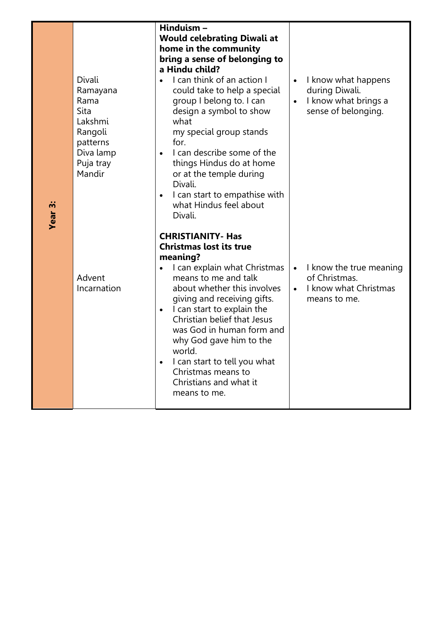| Divali<br>Ramayana<br>Rama<br>Sita<br>Lakshmi<br>Rangoli<br>patterns<br>Diva lamp<br>Puja tray<br>Mandir | Hinduism-<br><b>Would celebrating Diwali at</b><br>home in the community<br>bring a sense of belonging to<br>a Hindu child?<br>I can think of an action I<br>could take to help a special<br>group I belong to. I can<br>design a symbol to show<br>what<br>my special group stands<br>for.<br>I can describe some of the<br>$\bullet$<br>things Hindus do at home<br>or at the temple during<br>Divali.<br>I can start to empathise with<br>$\bullet$<br>what Hindus feel about<br>Divali. | I know what happens<br>$\bullet$<br>during Diwali.<br>I know what brings a<br>$\bullet$<br>sense of belonging. |
|----------------------------------------------------------------------------------------------------------|---------------------------------------------------------------------------------------------------------------------------------------------------------------------------------------------------------------------------------------------------------------------------------------------------------------------------------------------------------------------------------------------------------------------------------------------------------------------------------------------|----------------------------------------------------------------------------------------------------------------|
| Advent<br>Incarnation                                                                                    | <b>CHRISTIANITY- Has</b><br><b>Christmas lost its true</b><br>meaning?<br>I can explain what Christmas<br>means to me and talk<br>about whether this involves<br>giving and receiving gifts.<br>I can start to explain the<br>$\bullet$<br>Christian belief that Jesus<br>was God in human form and<br>why God gave him to the<br>world.<br>I can start to tell you what<br>$\bullet$<br>Christmas means to<br>Christians and what it<br>means to me.                                       | I know the true meaning<br>$\bullet$<br>of Christmas.<br>I know what Christmas<br>$\bullet$<br>means to me.    |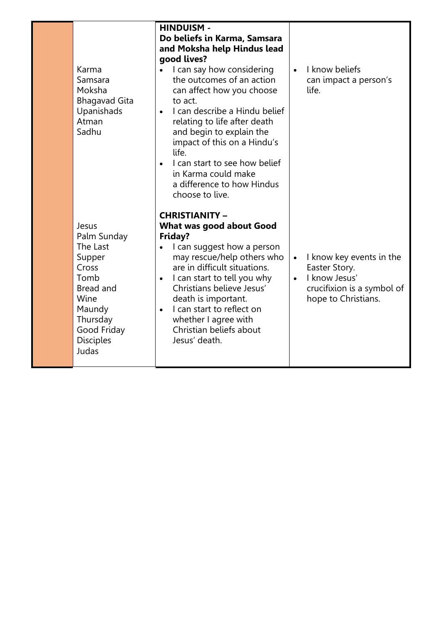| Karma<br>Samsara<br>Moksha<br><b>Bhagavad Gita</b><br>Upanishads<br>Atman<br>Sadhu                                                                 | <b>HINDUISM -</b><br>Do beliefs in Karma, Samsara<br>and Moksha help Hindus lead<br>good lives?<br>I can say how considering<br>the outcomes of an action<br>can affect how you choose<br>to act.<br>I can describe a Hindu belief<br>$\bullet$<br>relating to life after death<br>and begin to explain the<br>impact of this on a Hindu's<br>life.<br>I can start to see how belief<br>$\bullet$<br>in Karma could make<br>a difference to how Hindus<br>choose to live. | $\bullet$              | I know beliefs<br>can impact a person's<br>life.                                                                |
|----------------------------------------------------------------------------------------------------------------------------------------------------|---------------------------------------------------------------------------------------------------------------------------------------------------------------------------------------------------------------------------------------------------------------------------------------------------------------------------------------------------------------------------------------------------------------------------------------------------------------------------|------------------------|-----------------------------------------------------------------------------------------------------------------|
| Jesus<br>Palm Sunday<br>The Last<br>Supper<br>Cross<br>Tomb<br>Bread and<br>Wine<br>Maundy<br>Thursday<br>Good Friday<br><b>Disciples</b><br>Judas | <b>CHRISTIANITY -</b><br>What was good about Good<br>Friday?<br>I can suggest how a person<br>$\bullet$<br>may rescue/help others who<br>are in difficult situations.<br>I can start to tell you why<br>$\bullet$<br>Christians believe Jesus'<br>death is important.<br>I can start to reflect on<br>$\bullet$<br>whether I agree with<br>Christian beliefs about<br>Jesus' death.                                                                                       | $\bullet$<br>$\bullet$ | I know key events in the<br>Easter Story.<br>I know Jesus'<br>crucifixion is a symbol of<br>hope to Christians. |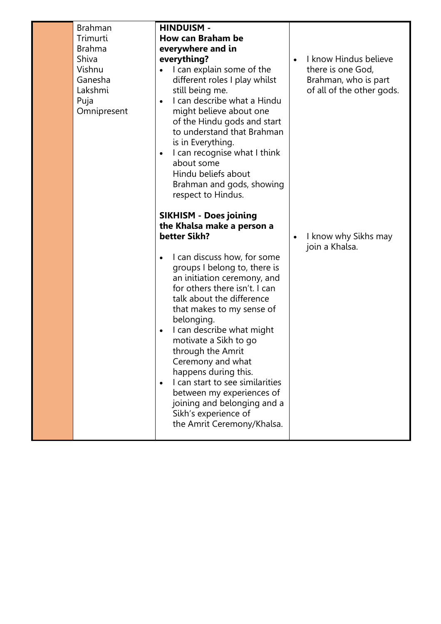| Brahman<br>Trimurti<br><b>Brahma</b><br>Shiva<br>Vishnu<br>Ganesha<br>Lakshmi<br>Puja<br>Omnipresent | <b>HINDUISM -</b><br><b>How can Braham be</b><br>everywhere and in<br>everything?<br>I can explain some of the<br>different roles I play whilst<br>still being me.<br>I can describe what a Hindu<br>$\bullet$<br>might believe about one<br>of the Hindu gods and start<br>to understand that Brahman<br>is in Everything.<br>I can recognise what I think<br>$\bullet$<br>about some<br>Hindu beliefs about<br>Brahman and gods, showing<br>respect to Hindus.                                                                                                                                       | $\bullet$ | I know Hindus believe<br>there is one God,<br>Brahman, who is part<br>of all of the other gods. |
|------------------------------------------------------------------------------------------------------|--------------------------------------------------------------------------------------------------------------------------------------------------------------------------------------------------------------------------------------------------------------------------------------------------------------------------------------------------------------------------------------------------------------------------------------------------------------------------------------------------------------------------------------------------------------------------------------------------------|-----------|-------------------------------------------------------------------------------------------------|
|                                                                                                      | <b>SIKHISM - Does joining</b><br>the Khalsa make a person a<br>better Sikh?<br>I can discuss how, for some<br>$\bullet$<br>groups I belong to, there is<br>an initiation ceremony, and<br>for others there isn't. I can<br>talk about the difference<br>that makes to my sense of<br>belonging.<br>I can describe what might<br>$\bullet$<br>motivate a Sikh to go<br>through the Amrit<br>Ceremony and what<br>happens during this.<br>I can start to see similarities<br>$\bullet$<br>between my experiences of<br>joining and belonging and a<br>Sikh's experience of<br>the Amrit Ceremony/Khalsa. | $\bullet$ | I know why Sikhs may<br>join a Khalsa.                                                          |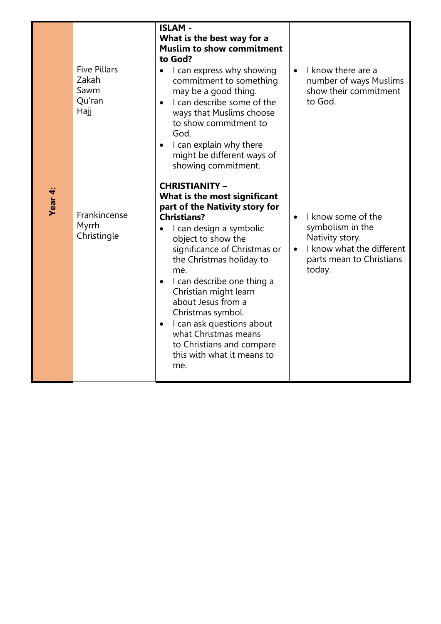| <b>Five Pillars</b><br>Zakah<br>Sawm<br>Qu'ran<br>Hajj | <b>ISLAM-</b><br>What is the best way for a<br><b>Muslim to show commitment</b><br>to God?<br>I can express why showing<br>commitment to something<br>may be a good thing.<br>I can describe some of the<br>$\bullet$<br>ways that Muslims choose<br>to show commitment to<br>God.<br>I can explain why there<br>$\bullet$<br>might be different ways of                                                                                                                                                                 | $\bullet$ | I know there are a<br>number of ways Muslims<br>show their commitment<br>to God.                                             |
|--------------------------------------------------------|--------------------------------------------------------------------------------------------------------------------------------------------------------------------------------------------------------------------------------------------------------------------------------------------------------------------------------------------------------------------------------------------------------------------------------------------------------------------------------------------------------------------------|-----------|------------------------------------------------------------------------------------------------------------------------------|
| Frankincense<br>Myrrh<br>Christingle                   | showing commitment.<br><b>CHRISTIANITY -</b><br>What is the most significant<br>part of the Nativity story for<br><b>Christians?</b><br>I can design a symbolic<br>$\bullet$<br>object to show the<br>significance of Christmas or<br>the Christmas holiday to<br>me.<br>I can describe one thing a<br>$\bullet$<br>Christian might learn<br>about Jesus from a<br>Christmas symbol.<br>I can ask questions about<br>$\bullet$<br>what Christmas means<br>to Christians and compare<br>this with what it means to<br>me. | $\bullet$ | I know some of the<br>symbolism in the<br>Nativity story.<br>I know what the different<br>parts mean to Christians<br>today. |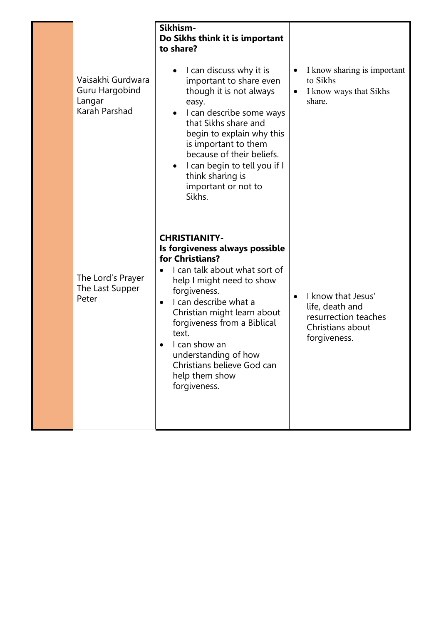|                                                                | Sikhism-<br>Do Sikhs think it is important<br>to share?                                                                                                                                                                                                                                                                                                                       |                                                                                                                |
|----------------------------------------------------------------|-------------------------------------------------------------------------------------------------------------------------------------------------------------------------------------------------------------------------------------------------------------------------------------------------------------------------------------------------------------------------------|----------------------------------------------------------------------------------------------------------------|
| Vaisakhi Gurdwara<br>Guru Hargobind<br>Langar<br>Karah Parshad | I can discuss why it is<br>important to share even<br>though it is not always<br>easy.<br>I can describe some ways<br>that Sikhs share and<br>begin to explain why this<br>is important to them<br>because of their beliefs.<br>I can begin to tell you if I<br>think sharing is<br>important or not to<br>Sikhs.                                                             | I know sharing is important<br>$\bullet$<br>to Sikhs<br>I know ways that Sikhs<br>share.                       |
| The Lord's Prayer<br>The Last Supper<br>Peter                  | <b>CHRISTIANITY-</b><br>Is forgiveness always possible<br>for Christians?<br>I can talk about what sort of<br>help I might need to show<br>forgiveness.<br>I can describe what a<br>$\bullet$<br>Christian might learn about<br>forgiveness from a Biblical<br>text.<br>I can show an<br>understanding of how<br>Christians believe God can<br>help them show<br>forgiveness. | I know that Jesus'<br>$\bullet$<br>life, death and<br>resurrection teaches<br>Christians about<br>forgiveness. |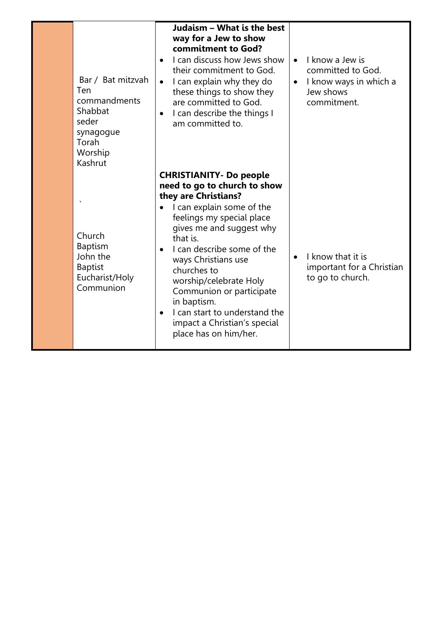| Bar / Bat mitzvah<br>Ten<br>commandments<br>Shabbat<br>seder<br>synagogue<br>Torah<br>Worship<br>Kashrut | Judaism - What is the best<br>way for a Jew to show<br>commitment to God?<br>I can discuss how Jews show<br>$\bullet$<br>their commitment to God.<br>I can explain why they do<br>$\bullet$<br>these things to show they<br>are committed to God.<br>I can describe the things I<br>$\bullet$<br>am committed to.                                                                                                                                     | I know a Jew is<br>$\bullet$<br>committed to God.<br>I know ways in which a<br>$\bullet$<br>Jew shows<br>commitment. |
|----------------------------------------------------------------------------------------------------------|-------------------------------------------------------------------------------------------------------------------------------------------------------------------------------------------------------------------------------------------------------------------------------------------------------------------------------------------------------------------------------------------------------------------------------------------------------|----------------------------------------------------------------------------------------------------------------------|
| Church<br><b>Baptism</b><br>John the<br><b>Baptist</b><br>Eucharist/Holy<br>Communion                    | <b>CHRISTIANITY- Do people</b><br>need to go to church to show<br>they are Christians?<br>I can explain some of the<br>feelings my special place<br>gives me and suggest why<br>that is.<br>I can describe some of the<br>$\bullet$<br>ways Christians use<br>churches to<br>worship/celebrate Holy<br>Communion or participate<br>in baptism.<br>I can start to understand the<br>$\bullet$<br>impact a Christian's special<br>place has on him/her. | I know that it is<br>$\bullet$<br>important for a Christian<br>to go to church.                                      |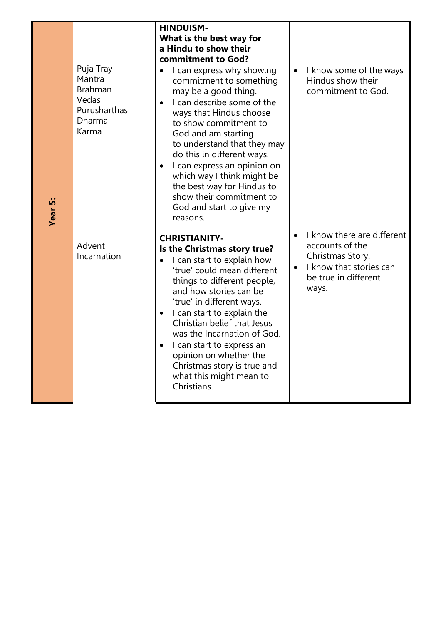| Puja Tray<br>Mantra<br><b>Brahman</b><br>Vedas<br>Purusharthas<br>Dharma<br>Karma | <b>HINDUISM-</b><br>What is the best way for<br>a Hindu to show their<br>commitment to God?<br>I can express why showing<br>$\bullet$<br>commitment to something<br>may be a good thing.<br>I can describe some of the<br>$\bullet$<br>ways that Hindus choose<br>to show commitment to<br>God and am starting<br>to understand that they may<br>do this in different ways.<br>I can express an opinion on<br>$\bullet$<br>which way I think might be<br>the best way for Hindus to<br>show their commitment to<br>God and start to give my<br>reasons. | $\bullet$ | I know some of the ways<br>Hindus show their<br>commitment to God.                                                            |
|-----------------------------------------------------------------------------------|---------------------------------------------------------------------------------------------------------------------------------------------------------------------------------------------------------------------------------------------------------------------------------------------------------------------------------------------------------------------------------------------------------------------------------------------------------------------------------------------------------------------------------------------------------|-----------|-------------------------------------------------------------------------------------------------------------------------------|
| Advent<br>Incarnation                                                             | <b>CHRISTIANITY-</b><br>Is the Christmas story true?<br>I can start to explain how<br>$\bullet$<br>'true' could mean different<br>things to different people,<br>and how stories can be<br>'true' in different ways.<br>I can start to explain the<br>$\bullet$<br>Christian belief that Jesus<br>was the Incarnation of God.<br>I can start to express an<br>$\bullet$<br>opinion on whether the<br>Christmas story is true and<br>what this might mean to<br>Christians.                                                                              | $\bullet$ | I know there are different<br>accounts of the<br>Christmas Story.<br>I know that stories can<br>be true in different<br>ways. |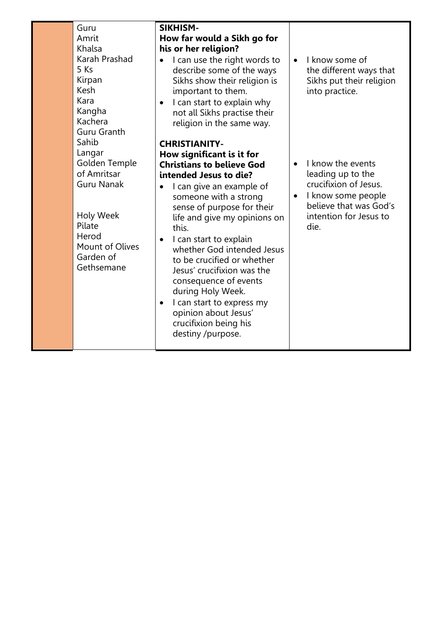Guru Amrit Khalsa Karah Prashad 5 Ks Kirpan Kesh Kara Kangha Kachera Guru Granth Sahib Langar Golden Temple of Amritsar Guru Nanak

Holy Week Pilate Herod Mount of Olives Garden of Gethsemane

## **SIKHISM-How far would a Sikh go for his or her religion?**

- I can use the right words to describe some of the ways Sikhs show their religion is important to them.
- I can start to explain why not all Sikhs practise their religion in the same way.

## **CHRISTIANITY-How significant is it for Christians to believe God intended Jesus to die?**

- I can give an example of someone with a strong sense of purpose for their life and give my opinions on this.
- I can start to explain whether God intended Jesus to be crucified or whether Jesus' crucifixion was the consequence of events during Holy Week.
- I can start to express my opinion about Jesus' crucifixion being his destiny /purpose.

• I know some of the different ways that Sikhs put their religion into practice.

- I know the events leading up to the crucifixion of Jesus.
- I know some people believe that was God's intention for Jesus to die.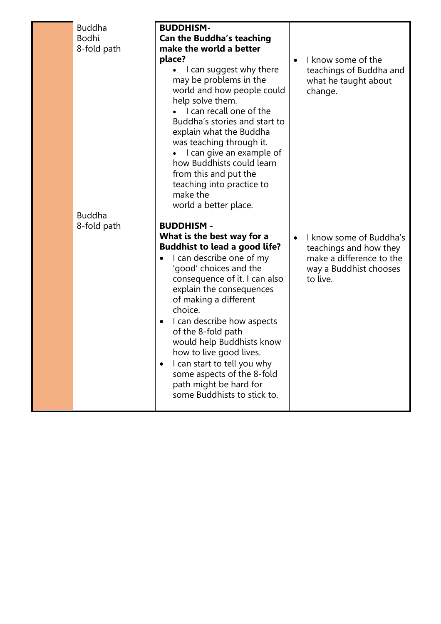| <b>Buddha</b><br><b>Bodhi</b><br>8-fold path | <b>BUDDHISM-</b><br><b>Can the Buddha's teaching</b><br>make the world a better<br>place?<br>I can suggest why there<br>may be problems in the<br>world and how people could<br>help solve them.<br>I can recall one of the<br>Buddha's stories and start to<br>explain what the Buddha<br>was teaching through it.<br>I can give an example of<br>how Buddhists could learn<br>from this and put the<br>teaching into practice to<br>make the<br>world a better place.       | $\bullet$ | I know some of the<br>teachings of Buddha and<br>what he taught about<br>change.                                    |
|----------------------------------------------|-------------------------------------------------------------------------------------------------------------------------------------------------------------------------------------------------------------------------------------------------------------------------------------------------------------------------------------------------------------------------------------------------------------------------------------------------------------------------------|-----------|---------------------------------------------------------------------------------------------------------------------|
| <b>Buddha</b><br>8-fold path                 | <b>BUDDHISM -</b>                                                                                                                                                                                                                                                                                                                                                                                                                                                             |           |                                                                                                                     |
|                                              | What is the best way for a<br><b>Buddhist to lead a good life?</b><br>I can describe one of my<br>'good' choices and the<br>consequence of it. I can also<br>explain the consequences<br>of making a different<br>choice.<br>I can describe how aspects<br>٠<br>of the 8-fold path<br>would help Buddhists know<br>how to live good lives.<br>I can start to tell you why<br>$\bullet$<br>some aspects of the 8-fold<br>path might be hard for<br>some Buddhists to stick to. | $\bullet$ | I know some of Buddha's<br>teachings and how they<br>make a difference to the<br>way a Buddhist chooses<br>to live. |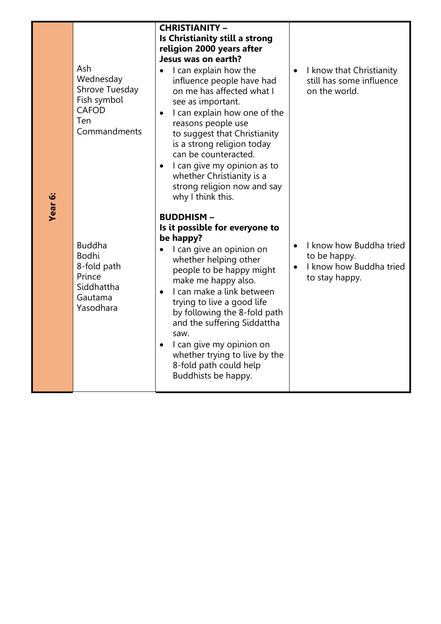| Ash<br>Wednesday<br>Shrove Tuesday<br>Fish symbol<br><b>CAFOD</b><br>Ten<br>Commandments     | <b>CHRISTIANITY -</b><br>Is Christianity still a strong<br>religion 2000 years after<br>Jesus was on earth?<br>I can explain how the<br>influence people have had<br>on me has affected what I<br>see as important.<br>I can explain how one of the<br>$\bullet$<br>reasons people use<br>to suggest that Christianity<br>is a strong religion today<br>can be counteracted.<br>I can give my opinion as to<br>٠<br>whether Christianity is a<br>strong religion now and say<br>why I think this. | $\bullet$              | I know that Christianity<br>still has some influence<br>on the world.                |
|----------------------------------------------------------------------------------------------|---------------------------------------------------------------------------------------------------------------------------------------------------------------------------------------------------------------------------------------------------------------------------------------------------------------------------------------------------------------------------------------------------------------------------------------------------------------------------------------------------|------------------------|--------------------------------------------------------------------------------------|
| <b>Buddha</b><br><b>Bodhi</b><br>8-fold path<br>Prince<br>Siddhattha<br>Gautama<br>Yasodhara | <b>BUDDHISM-</b><br>Is it possible for everyone to<br>be happy?<br>I can give an opinion on<br>whether helping other<br>people to be happy might<br>make me happy also.<br>I can make a link between<br>trying to live a good life<br>by following the 8-fold path<br>and the suffering Siddattha<br>saw.<br>I can give my opinion on<br>$\bullet$<br>whether trying to live by the<br>8-fold path could help<br>Buddhists be happy.                                                              | $\bullet$<br>$\bullet$ | I know how Buddha tried<br>to be happy.<br>I know how Buddha tried<br>to stay happy. |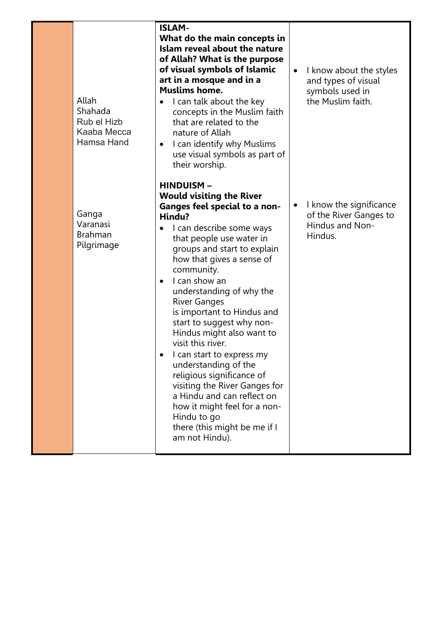| Allah<br>Shahada<br>Rub el Hizb<br>Kaaba Mecca<br>Hamsa Hand | <b>ISLAM-</b><br>What do the main concepts in<br>Islam reveal about the nature<br>of Allah? What is the purpose<br>of visual symbols of Islamic<br>art in a mosque and in a<br><b>Muslims home.</b><br>I can talk about the key<br>$\bullet$<br>concepts in the Muslim faith<br>that are related to the<br>nature of Allah<br>I can identify why Muslims<br>$\bullet$<br>use visual symbols as part of<br>their worship.                                                                                                                                                                                                                                                                             | $\bullet$ | I know about the styles<br>and types of visual<br>symbols used in<br>the Muslim faith. |
|--------------------------------------------------------------|------------------------------------------------------------------------------------------------------------------------------------------------------------------------------------------------------------------------------------------------------------------------------------------------------------------------------------------------------------------------------------------------------------------------------------------------------------------------------------------------------------------------------------------------------------------------------------------------------------------------------------------------------------------------------------------------------|-----------|----------------------------------------------------------------------------------------|
| Ganga<br>Varanasi<br><b>Brahman</b><br>Pilgrimage            | <b>HINDUISM-</b><br><b>Would visiting the River</b><br><b>Ganges feel special to a non-</b><br>Hindu?<br>I can describe some ways<br>$\bullet$<br>that people use water in<br>groups and start to explain<br>how that gives a sense of<br>community.<br>I can show an<br>$\bullet$<br>understanding of why the<br><b>River Ganges</b><br>is important to Hindus and<br>start to suggest why non-<br>Hindus might also want to<br>visit this river.<br>I can start to express my<br>understanding of the<br>religious significance of<br>visiting the River Ganges for<br>a Hindu and can reflect on<br>how it might feel for a non-<br>Hindu to go<br>there (this might be me if I<br>am not Hindu). | $\bullet$ | I know the significance<br>of the River Ganges to<br>Hindus and Non-<br>Hindus.        |